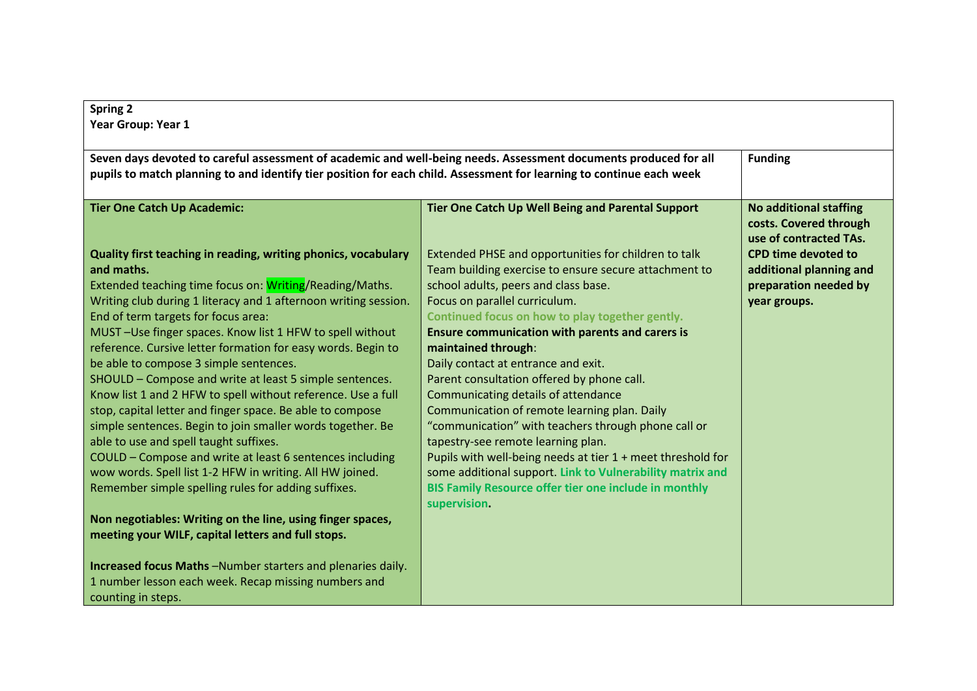| <b>Spring 2</b>                                                                                                      |                                                              |                                                                                   |
|----------------------------------------------------------------------------------------------------------------------|--------------------------------------------------------------|-----------------------------------------------------------------------------------|
| Year Group: Year 1                                                                                                   |                                                              |                                                                                   |
|                                                                                                                      |                                                              |                                                                                   |
| Seven days devoted to careful assessment of academic and well-being needs. Assessment documents produced for all     |                                                              | <b>Funding</b>                                                                    |
| pupils to match planning to and identify tier position for each child. Assessment for learning to continue each week |                                                              |                                                                                   |
|                                                                                                                      |                                                              |                                                                                   |
| <b>Tier One Catch Up Academic:</b>                                                                                   | Tier One Catch Up Well Being and Parental Support            | <b>No additional staffing</b><br>costs. Covered through<br>use of contracted TAs. |
| Quality first teaching in reading, writing phonics, vocabulary                                                       | Extended PHSE and opportunities for children to talk         | <b>CPD time devoted to</b>                                                        |
| and maths.                                                                                                           | Team building exercise to ensure secure attachment to        | additional planning and                                                           |
| Extended teaching time focus on: Writing/Reading/Maths.                                                              | school adults, peers and class base.                         | preparation needed by                                                             |
| Writing club during 1 literacy and 1 afternoon writing session.                                                      | Focus on parallel curriculum.                                | year groups.                                                                      |
| End of term targets for focus area:                                                                                  | Continued focus on how to play together gently.              |                                                                                   |
| MUST-Use finger spaces. Know list 1 HFW to spell without                                                             | <b>Ensure communication with parents and carers is</b>       |                                                                                   |
| reference. Cursive letter formation for easy words. Begin to                                                         | maintained through:                                          |                                                                                   |
| be able to compose 3 simple sentences.                                                                               | Daily contact at entrance and exit.                          |                                                                                   |
| SHOULD - Compose and write at least 5 simple sentences.                                                              | Parent consultation offered by phone call.                   |                                                                                   |
| Know list 1 and 2 HFW to spell without reference. Use a full                                                         | Communicating details of attendance                          |                                                                                   |
| stop, capital letter and finger space. Be able to compose                                                            | Communication of remote learning plan. Daily                 |                                                                                   |
| simple sentences. Begin to join smaller words together. Be                                                           | "communication" with teachers through phone call or          |                                                                                   |
| able to use and spell taught suffixes.                                                                               | tapestry-see remote learning plan.                           |                                                                                   |
| COULD - Compose and write at least 6 sentences including                                                             | Pupils with well-being needs at tier 1 + meet threshold for  |                                                                                   |
| wow words. Spell list 1-2 HFW in writing. All HW joined.                                                             | some additional support. Link to Vulnerability matrix and    |                                                                                   |
| Remember simple spelling rules for adding suffixes.                                                                  | <b>BIS Family Resource offer tier one include in monthly</b> |                                                                                   |
|                                                                                                                      | supervision.                                                 |                                                                                   |
| Non negotiables: Writing on the line, using finger spaces,                                                           |                                                              |                                                                                   |
| meeting your WILF, capital letters and full stops.                                                                   |                                                              |                                                                                   |
|                                                                                                                      |                                                              |                                                                                   |
| Increased focus Maths-Number starters and plenaries daily.                                                           |                                                              |                                                                                   |
| 1 number lesson each week. Recap missing numbers and                                                                 |                                                              |                                                                                   |
| counting in steps.                                                                                                   |                                                              |                                                                                   |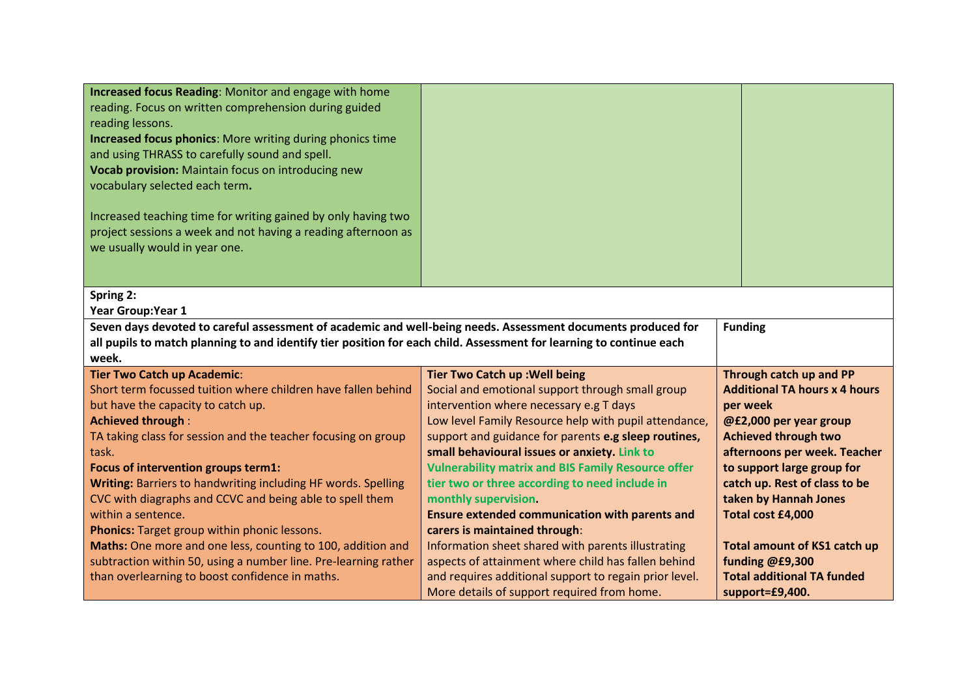| Increased focus Reading: Monitor and engage with home<br>reading. Focus on written comprehension during guided<br>reading lessons.<br><b>Increased focus phonics:</b> More writing during phonics time<br>and using THRASS to carefully sound and spell.<br>Vocab provision: Maintain focus on introducing new<br>vocabulary selected each term.<br>Increased teaching time for writing gained by only having two<br>project sessions a week and not having a reading afternoon as<br>we usually would in year one. |                                                                                                           |                                                        |  |
|---------------------------------------------------------------------------------------------------------------------------------------------------------------------------------------------------------------------------------------------------------------------------------------------------------------------------------------------------------------------------------------------------------------------------------------------------------------------------------------------------------------------|-----------------------------------------------------------------------------------------------------------|--------------------------------------------------------|--|
|                                                                                                                                                                                                                                                                                                                                                                                                                                                                                                                     |                                                                                                           |                                                        |  |
| Spring 2:<br><b>Year Group: Year 1</b>                                                                                                                                                                                                                                                                                                                                                                                                                                                                              |                                                                                                           |                                                        |  |
| Seven days devoted to careful assessment of academic and well-being needs. Assessment documents produced for<br>all pupils to match planning to and identify tier position for each child. Assessment for learning to continue each<br>week.                                                                                                                                                                                                                                                                        |                                                                                                           | <b>Funding</b>                                         |  |
| <b>Tier Two Catch up Academic:</b>                                                                                                                                                                                                                                                                                                                                                                                                                                                                                  | <b>Tier Two Catch up: Well being</b>                                                                      | Through catch up and PP                                |  |
| Short term focussed tuition where children have fallen behind                                                                                                                                                                                                                                                                                                                                                                                                                                                       | Social and emotional support through small group                                                          | <b>Additional TA hours x 4 hours</b>                   |  |
| but have the capacity to catch up.                                                                                                                                                                                                                                                                                                                                                                                                                                                                                  | intervention where necessary e.g T days                                                                   | per week                                               |  |
| <b>Achieved through:</b>                                                                                                                                                                                                                                                                                                                                                                                                                                                                                            | Low level Family Resource help with pupil attendance,                                                     | @£2,000 per year group                                 |  |
| TA taking class for session and the teacher focusing on group                                                                                                                                                                                                                                                                                                                                                                                                                                                       | support and guidance for parents e.g sleep routines,                                                      | <b>Achieved through two</b>                            |  |
| task.                                                                                                                                                                                                                                                                                                                                                                                                                                                                                                               | small behavioural issues or anxiety. Link to                                                              | afternoons per week. Teacher                           |  |
| Focus of intervention groups term1:                                                                                                                                                                                                                                                                                                                                                                                                                                                                                 | <b>Vulnerability matrix and BIS Family Resource offer</b>                                                 | to support large group for                             |  |
| Writing: Barriers to handwriting including HF words. Spelling                                                                                                                                                                                                                                                                                                                                                                                                                                                       | tier two or three according to need include in                                                            | catch up. Rest of class to be                          |  |
| CVC with diagraphs and CCVC and being able to spell them                                                                                                                                                                                                                                                                                                                                                                                                                                                            | monthly supervision.                                                                                      | taken by Hannah Jones                                  |  |
| within a sentence.                                                                                                                                                                                                                                                                                                                                                                                                                                                                                                  | <b>Ensure extended communication with parents and</b>                                                     | Total cost £4,000                                      |  |
| Phonics: Target group within phonic lessons.                                                                                                                                                                                                                                                                                                                                                                                                                                                                        | carers is maintained through:                                                                             |                                                        |  |
| Maths: One more and one less, counting to 100, addition and<br>subtraction within 50, using a number line. Pre-learning rather                                                                                                                                                                                                                                                                                                                                                                                      | Information sheet shared with parents illustrating<br>aspects of attainment where child has fallen behind | <b>Total amount of KS1 catch up</b><br>funding @£9,300 |  |
| than overlearning to boost confidence in maths.                                                                                                                                                                                                                                                                                                                                                                                                                                                                     | and requires additional support to regain prior level.                                                    | <b>Total additional TA funded</b>                      |  |
|                                                                                                                                                                                                                                                                                                                                                                                                                                                                                                                     | More details of support required from home.                                                               | support=£9,400.                                        |  |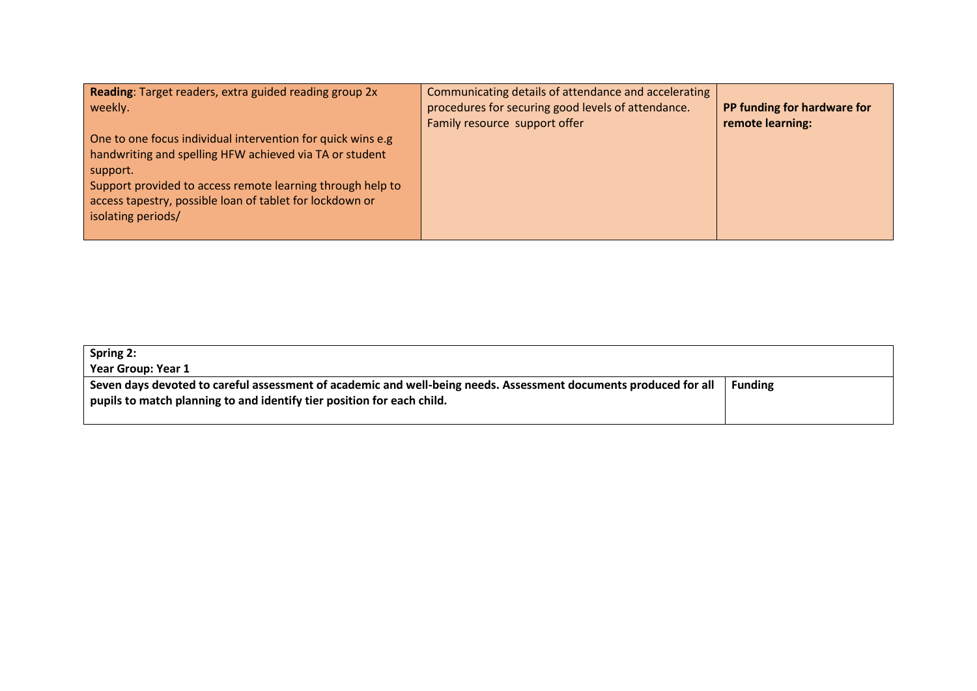| Reading: Target readers, extra guided reading group 2x<br>weekly.                                                                                                                                                                                                                  | Communicating details of attendance and accelerating<br>procedures for securing good levels of attendance. | PP funding for hardware for |
|------------------------------------------------------------------------------------------------------------------------------------------------------------------------------------------------------------------------------------------------------------------------------------|------------------------------------------------------------------------------------------------------------|-----------------------------|
| One to one focus individual intervention for quick wins e.g<br>handwriting and spelling HFW achieved via TA or student<br>support.<br>Support provided to access remote learning through help to<br>access tapestry, possible loan of tablet for lockdown or<br>isolating periods/ | Family resource support offer                                                                              | remote learning:            |

| Spring 2:<br>Year Group: Year 1                                                                                                                                                            |                |
|--------------------------------------------------------------------------------------------------------------------------------------------------------------------------------------------|----------------|
| Seven days devoted to careful assessment of academic and well-being needs. Assessment documents produced for all<br>pupils to match planning to and identify tier position for each child. | <b>Funding</b> |